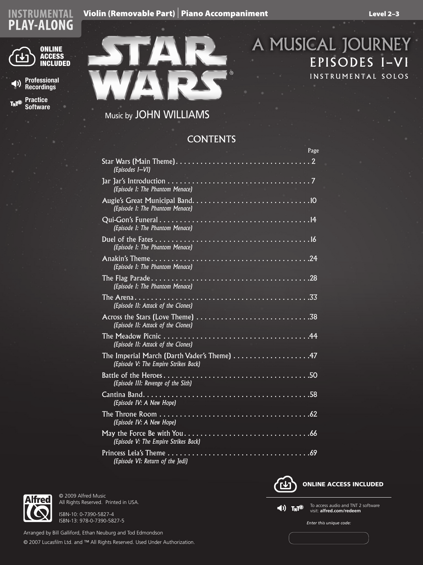## Cello (Removable Part) I Piano Accompaniment Violin (Removable Part) I Piano Accompaniment Level 2–3





## Music by JOHN WILLIAMS

## **CONTENTS**

|                                                                                                                                                        | Page |
|--------------------------------------------------------------------------------------------------------------------------------------------------------|------|
| (Episodes I-VI)                                                                                                                                        |      |
| Jar Jar's Introduction $\ldots \ldots \ldots \ldots \ldots \ldots \ldots \ldots \ldots \ldots \ldots \ldots \ldots$<br>(Episode I: The Phantom Menace) |      |
| (Episode I: The Phantom Menace)                                                                                                                        |      |
| (Episode I: The Phantom Menace)                                                                                                                        |      |
| (Episode I: The Phantom Menace)                                                                                                                        |      |
| (Episode I: The Phantom Menace)                                                                                                                        |      |
| (Episode I: The Phantom Menace)                                                                                                                        |      |
| (Episode II: Attack of the Clones)                                                                                                                     |      |
| (Episode II: Attack of the Clones)                                                                                                                     |      |
| (Episode II: Attack of the Clones)                                                                                                                     |      |
| The Imperial March (Darth Vader's Theme) 47<br>(Episode V: The Empire Strikes Back)                                                                    |      |
| (Episode III: Revenge of the Sith)                                                                                                                     |      |
| (Episode IV: A New Hope)                                                                                                                               |      |
| The Throne Room<br>(Episode IV: A New Hope)                                                                                                            |      |
| (Episode V: The Empire Strikes Back)                                                                                                                   |      |
| (Episode VI: Return of the Jedi)                                                                                                                       |      |



All Rights Reserved. Printed in USA.

© 2009 Alfred Music

ISBN-10: 0-7390-5827-4 ISBN-13: 978-0-7390-5827-5

Arranged by Bill Galliford, Ethan Neuburg and Tod Edmondson © 2007 Lucasfilm Ltd. and ™ All Rights Reserved. Used Under Authorization.



 $\blacktriangleleft$ )  $T_N$ <sup>2</sup>

To access audio and TNT 2 software visit: **alfred.com/redeem**

*Enter this unique code:*



A MUSICAL JOURNEY

EPISODES I–VI

INSTRUMENTAL SOLOS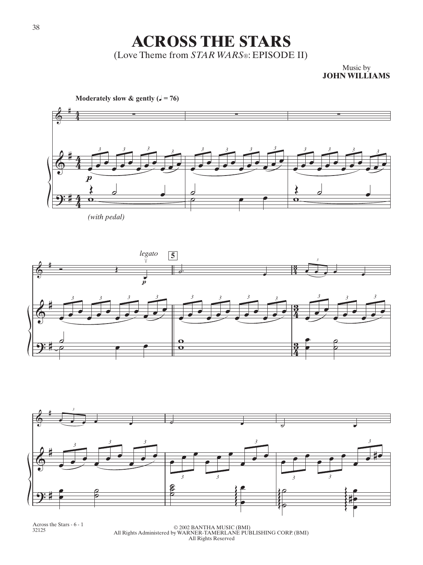**ACROSS THE STARS** (Love Theme from *STAR WARS*®: EPISODE II)

> Music by **JOHN WILLIAMS**



*(with pedal)*





Across the Stars - 6 - 1

<sup>32125</sup> © 2002 BANTHA MUSIC (BMI) All Rights Administered by WARNER-TAMERLANE PUBLISHING CORP. (BMI) All Rights Reserved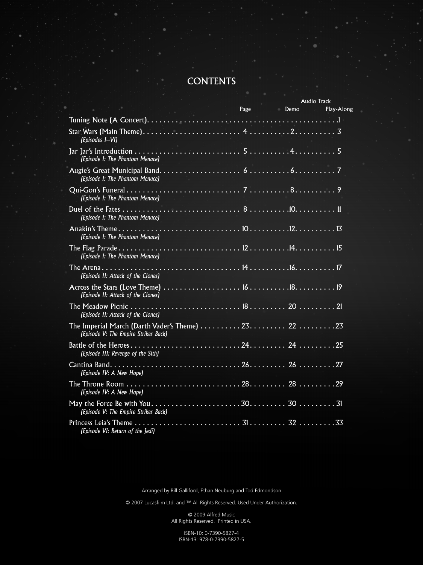## **CONTENTS**

|                                                                                                                                                            |           | <b>Audio Track</b> |  |
|------------------------------------------------------------------------------------------------------------------------------------------------------------|-----------|--------------------|--|
|                                                                                                                                                            | Page Demo | Play-Along         |  |
|                                                                                                                                                            |           |                    |  |
| (Episodes I-VI)                                                                                                                                            |           |                    |  |
| (Episode I: The Phantom Menace)                                                                                                                            |           |                    |  |
| (Episode I: The Phantom Menace)                                                                                                                            |           |                    |  |
| (Episode I: The Phantom Menace)                                                                                                                            |           |                    |  |
| (Episode I: The Phantom Menace)                                                                                                                            |           |                    |  |
| (Episode I: The Phantom Menace)                                                                                                                            |           |                    |  |
| (Episode I: The Phantom Menace)                                                                                                                            |           |                    |  |
| (Episode II: Attack of the Clones)                                                                                                                         |           |                    |  |
| (Episode II: Attack of the Clones)                                                                                                                         |           |                    |  |
| (Episode II: Attack of the Clones)                                                                                                                         |           |                    |  |
| The Imperial March (Darth Vader's Theme) $\ldots \ldots \ldots 23 \ldots \ldots \ldots 22 \ldots \ldots \ldots 23$<br>(Episode V: The Empire Strikes Back) |           |                    |  |
| (Episode III: Revenge of the Sith)                                                                                                                         |           |                    |  |
| (Episode IV: A New Hope)                                                                                                                                   |           |                    |  |
| (Episode IV: A New Hope)                                                                                                                                   |           |                    |  |
| (Episode V: The Empire Strikes Back)                                                                                                                       |           |                    |  |
| (Episode VI: Return of the Jedi)                                                                                                                           |           |                    |  |

Arranged by Bill Galliford, Ethan Neuburg and Tod Edmondson

© 2007 Lucasfilm Ltd. and ™ All Rights Reserved. Used Under Authorization.

© 2009 Alfred Music All Rights Reserved. Printed in USA.

ISBN-10: 0-7390-5827-4 ISBN-13: 978-0-7390-5827-5